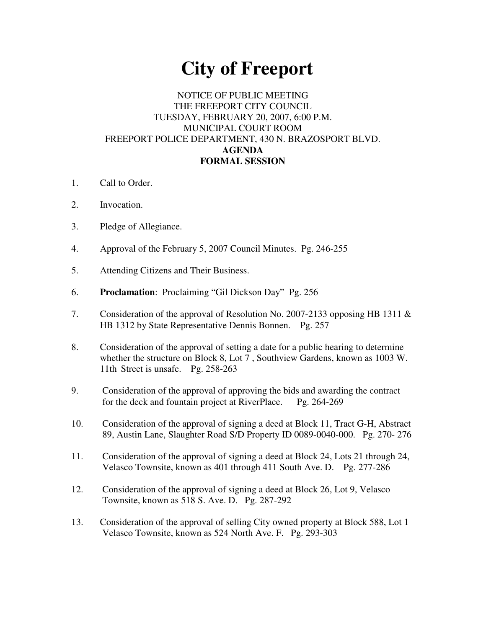# **City of Freeport**

## NOTICE OF PUBLIC MEETING THE FREEPORT CITY COUNCIL TUESDAY, FEBRUARY 20, 2007, 6:00 P.M. MUNICIPAL COURT ROOM FREEPORT POLICE DEPARTMENT, 430 N. BRAZOSPORT BLVD. **AGENDA FORMAL SESSION**

- 1. Call to Order.
- 2. Invocation.
- 3. Pledge of Allegiance.
- 4. Approval of the February 5, 2007 Council Minutes. Pg. 246-255
- 5. Attending Citizens and Their Business.
- 6. **Proclamation**: Proclaiming "Gil Dickson Day" Pg. 256
- 7. Consideration of the approval of Resolution No. 2007-2133 opposing HB 1311 & HB 1312 by State Representative Dennis Bonnen. Pg. 257
- 8. Consideration of the approval of setting a date for a public hearing to determine whether the structure on Block 8, Lot 7 , Southview Gardens, known as 1003 W. 11th Street is unsafe. Pg. 258-263
- 9. Consideration of the approval of approving the bids and awarding the contract for the deck and fountain project at RiverPlace. Pg. 264-269
- 10. Consideration of the approval of signing a deed at Block 11, Tract G-H, Abstract 89, Austin Lane, Slaughter Road S/D Property ID 0089-0040-000. Pg. 270- 276
- 11. Consideration of the approval of signing a deed at Block 24, Lots 21 through 24, Velasco Townsite, known as 401 through 411 South Ave. D. Pg. 277-286
- 12. Consideration of the approval of signing a deed at Block 26, Lot 9, Velasco Townsite, known as 518 S. Ave. D. Pg. 287-292
- 13. Consideration of the approval of selling City owned property at Block 588, Lot 1 Velasco Townsite, known as 524 North Ave. F. Pg. 293-303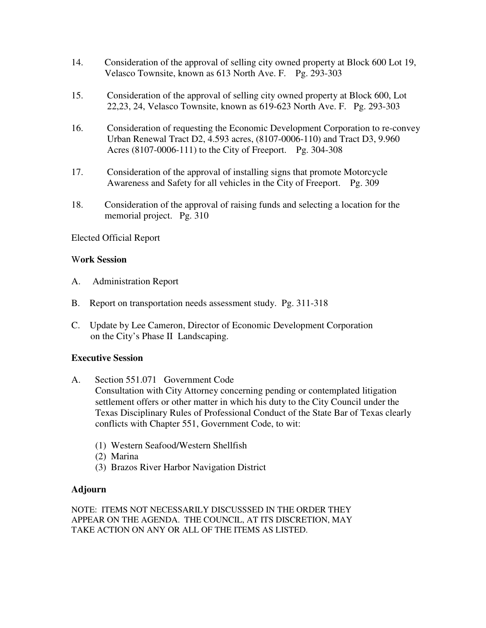- 14. Consideration of the approval of selling city owned property at Block 600 Lot 19, Velasco Townsite, known as 613 North Ave. F. Pg. 293-303
- 15. Consideration of the approval of selling city owned property at Block 600, Lot 22,23, 24, Velasco Townsite, known as 619-623 North Ave. F. Pg. 293-303
- 16. Consideration of requesting the Economic Development Corporation to re-convey Urban Renewal Tract D2, 4.593 acres, (8107-0006-110) and Tract D3, 9.960 Acres (8107-0006-111) to the City of Freeport. Pg. 304-308
- 17. Consideration of the approval of installing signs that promote Motorcycle Awareness and Safety for all vehicles in the City of Freeport. Pg. 309
- 18. Consideration of the approval of raising funds and selecting a location for the memorial project. Pg. 310

### Elected Official Report

#### W**ork Session**

- A. Administration Report
- B. Report on transportation needs assessment study. Pg. 311-318
- C. Update by Lee Cameron, Director of Economic Development Corporation on the City's Phase II Landscaping.

#### **Executive Session**

- A. Section 551.071 Government Code Consultation with City Attorney concerning pending or contemplated litigation settlement offers or other matter in which his duty to the City Council under the Texas Disciplinary Rules of Professional Conduct of the State Bar of Texas clearly conflicts with Chapter 551, Government Code, to wit:
	- (1) Western Seafood/Western Shellfish
	- (2) Marina
	- (3) Brazos River Harbor Navigation District

#### **Adjourn**

NOTE: ITEMS NOT NECESSARILY DISCUSSSED IN THE ORDER THEY APPEAR ON THE AGENDA. THE COUNCIL, AT ITS DISCRETION, MAY TAKE ACTION ON ANY OR ALL OF THE ITEMS AS LISTED.